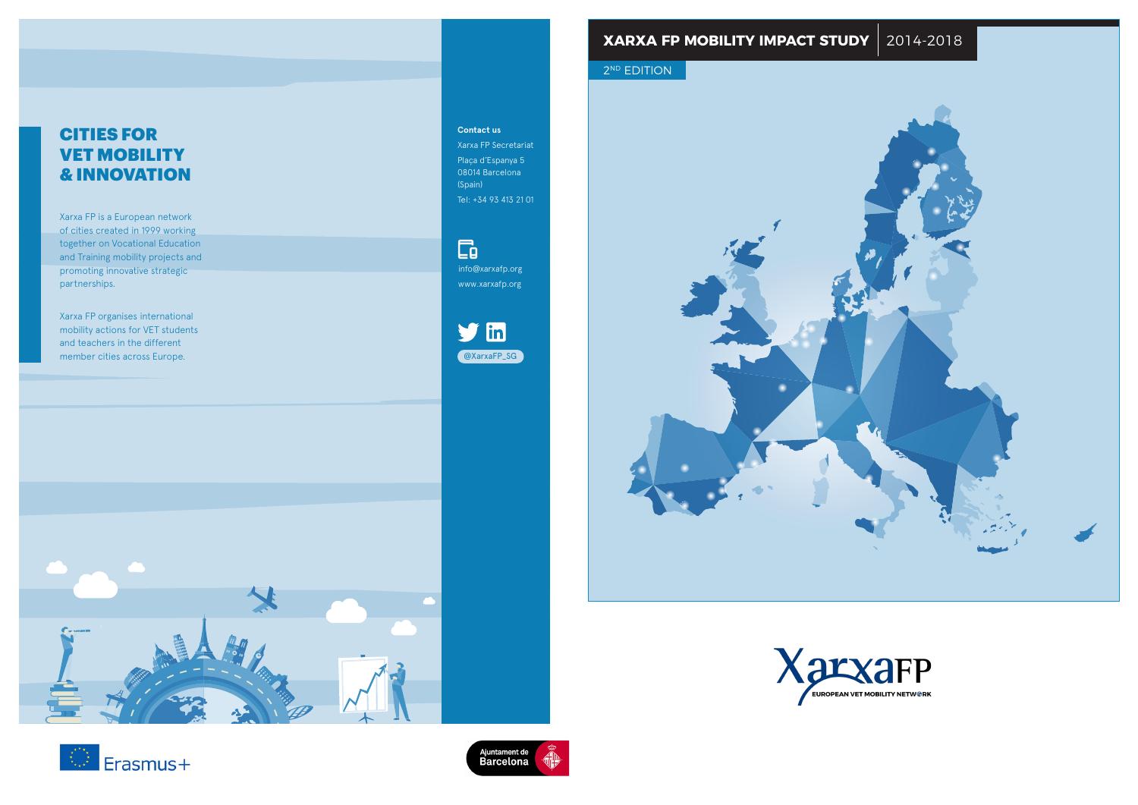## **XARXA FP MOBILITY IMPACT STUDY** 201 **CITIES FOR VET MOBILITY & INNOVATION XARXA FP MOBILITY IMPACT STUDY** 2014-2018

**CITIES FOR VET MOBILITY & INNOVATION**

## 2<sup>ND</sup> EDITION



Xarxa FP is a European network of cities created in 1999 working together on Vocational Education and Training mobility projects and promoting innovative strategic partnerships.

Xarxa FP organises international mobility actions for VET students and teachers in the different member cities across Europe.



## **Contact us**

Xarxa FP Secretariat Plaça d'Espanya 5 08014 Barcelona (Spain) Tel: +34 93 413 21 01

## $\Box$













info@xarxafp.org www.xarxafp.org